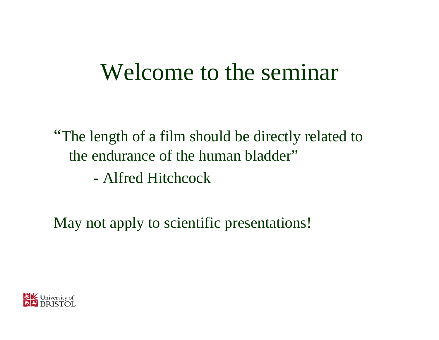#### Welcome to the seminar

"The length of a film should be directly related to the endurance of the human bladder"

-Alfred Hitchcock

May not apply to scientific presentations!

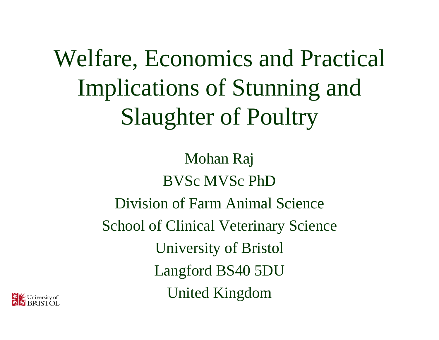Welfare, Economics and Practical Implications of Stunning and Slaughter of Poultry

> Mohan Raj BVSc MVSc PhDDivision of Farm Animal ScienceSchool of Clinical Veterinary Science University of Bristol Langford BS40 5DU United Kingdom

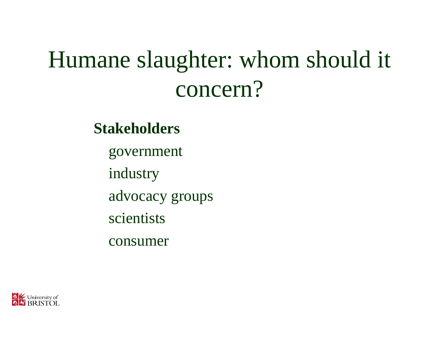# Humane slaughter: whom should it concern?

#### **Stakeholders**

government

industry

advocacy groups

scientists

consumer

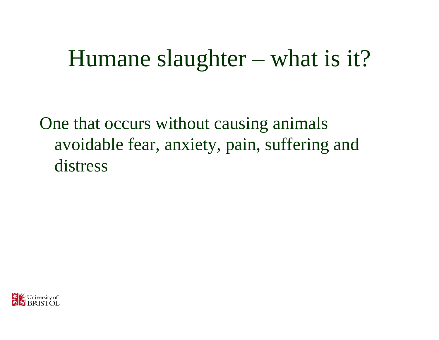#### Humane slaughter – what is it?

One that occurs without causing animals avoidable fear, anxiety, pain, suffering and distress

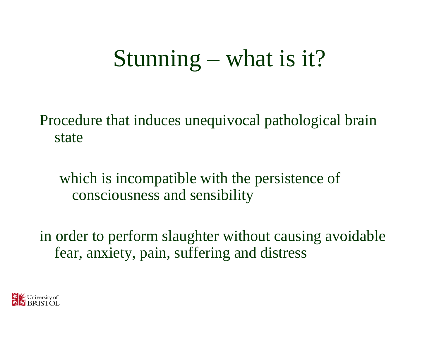# Stunning – what is it?

Procedure that induces unequivocal pathological brain state

which is incompatible with the persistence of consciousness and sensibility

in order to perform slaughter without causing avoidable fear, anxiety, pain, suffering and distress

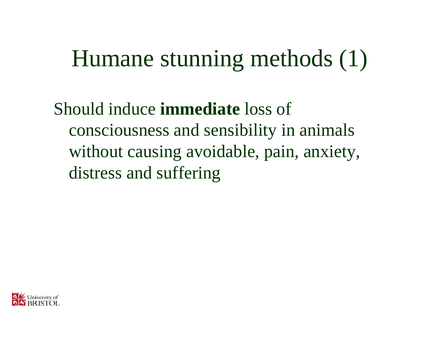## Humane stunning methods (1)

Should induce **immediate** loss of consciousness and sensibility in animals without causing avoidable, pain, anxiety, distress and suffering

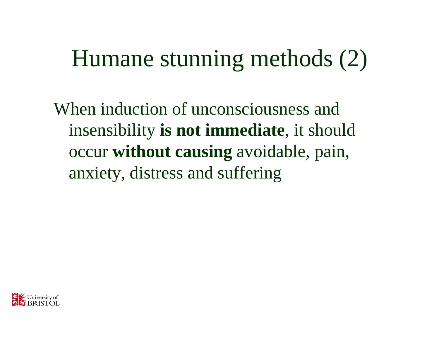## Humane stunning methods (2)

When induction of unconsciousness and insensibility **is not immediate**, it should occur **without causing** avoidable, pain, anxiety, distress and suffering

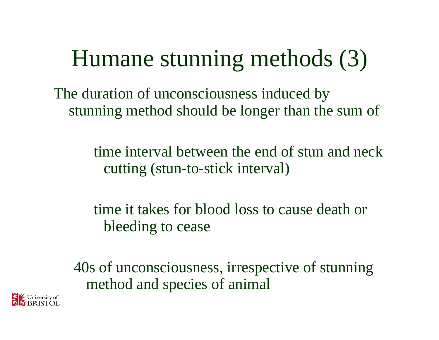## Humane stunning methods (3)

The duration of unconsciousness induced by stunning method should be longer than the sum of

> time interval between the end of stun and neck cutting (stun-to-stick interval)

time it takes for blood loss to cause death or bleeding to cease

40s of unconsciousness, irrespective of stunning method and species of animal

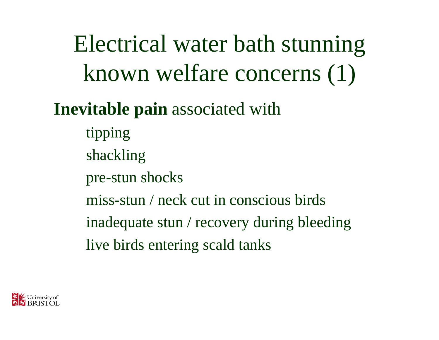Electrical water bath stunning known welfare concerns (1)

#### **Inevitable pain** associated with

tipping shackling pre-stun shocks miss-stun / neck cut in conscious birdsinadequate stun / recovery during bleeding live birds entering scald tanks

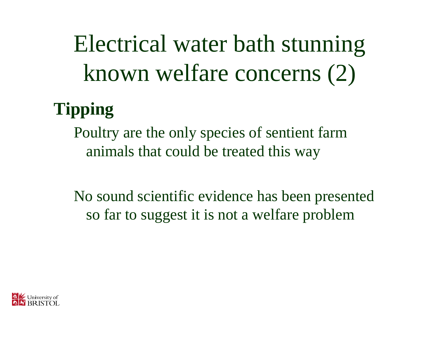Electrical water bath stunning known welfare concerns (2)

#### **Tipping**

Poultry are the only species of sentient farm animals that could be treated this way

No sound scientific evidence has been presented so far to suggest it is not a welfare problem

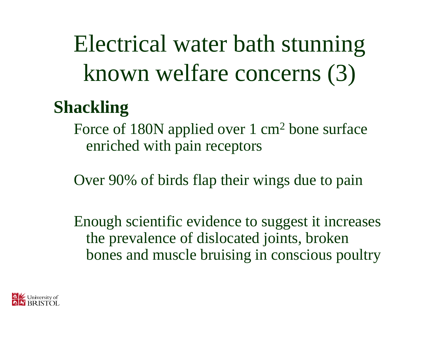Electrical water bath stunning known welfare concerns (3)

#### **Shackling**

Force of 180N applied over 1 cm<sup>2</sup> bone surface enriched with pain receptors

Over 90% of birds flap their wings due to pain

Enough scientific evidence to suggest it increases the prevalence of dislocated joints, broken bones and muscle bruising in conscious poultry

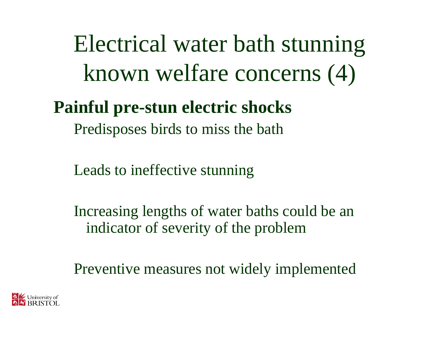Electrical water bath stunning known welfare concerns (4)

#### **Painful pre-stun electric shocks**

Predisposes birds to miss the bath

Leads to ineffective stunning

Increasing lengths of water baths could be an indicator of severity of the problem

Preventive measures not widely implemented

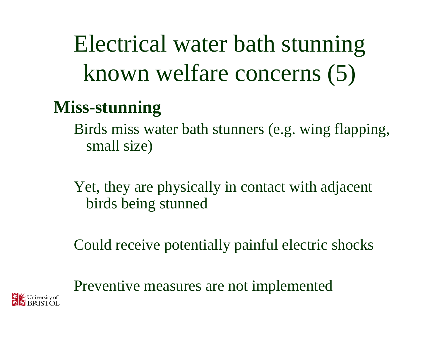Electrical water bath stunning known welfare concerns (5)

#### **Miss-stunning**

Birds miss water bath stunners (e.g. wing flapping, small size)

Yet, they are physically in contact with adjacent birds being stunned

Could receive potentially painful electric shocks

Preventive measures are not implemented

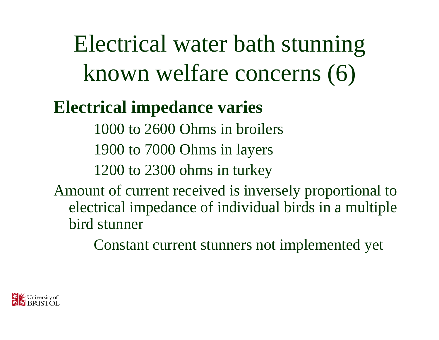Electrical water bath stunning known welfare concerns (6)

#### **Electrical impedance varies**

1000 to 2600 Ohms in broilers1900 to 7000 Ohms in layers 1200 to 2300 ohms in turkey

Amount of current received is inversely proportional to electrical impedance of individual birds in a multiple bird stunner

Constant current stunners not implemented yet

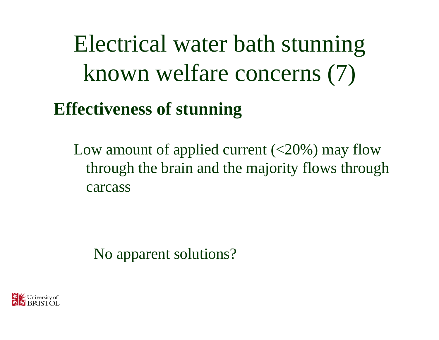Electrical water bath stunning known welfare concerns (7)

#### **Effectiveness of stunning**

Low amount of applied current  $(<20\%)$  may flow through the brain and the majority flows through carcass

No apparent solutions?

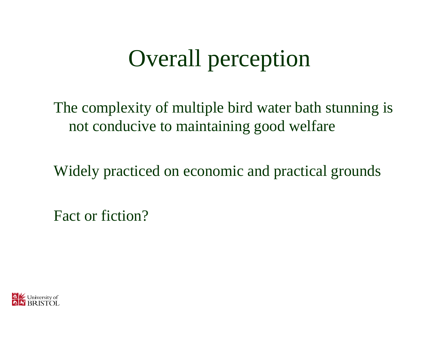## Overall perception

The complexity of multiple bird water bath stunning is not conducive to maintaining good welfare

Widely practiced on economic and practical grounds

Fact or fiction?

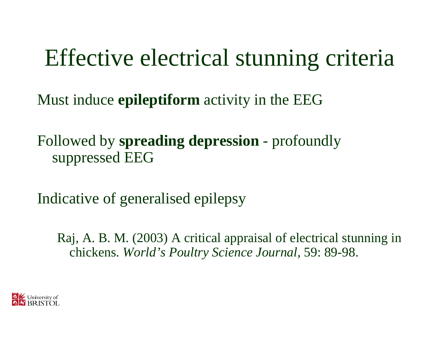#### Effective electrical stunning criteria

Must induce **epileptiform** activity in the EEG

Followed by **spreading depression** - profoundly suppressed EEG

Indicative of generalised epilepsy

Raj, A. B. M. (2003) A critical appraisal of electrical stunning in chickens. *World's Poultry Science Journal,* 59: 89-98.

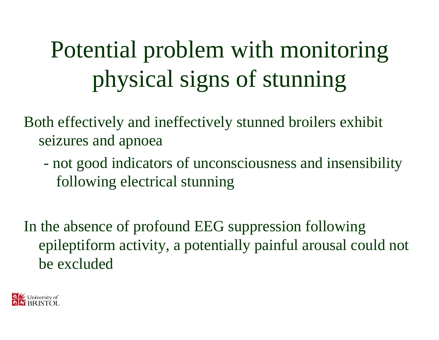# Potential problem with monitoring physical signs of stunning

Both effectively and ineffectively stunned broilers exhibit seizures and apnoea

- not good indicators of unconsciousness and insensibility following electrical stunning

In the absence of profound EEG suppression following epileptiform activity, a potentially painful arousal could not be excluded

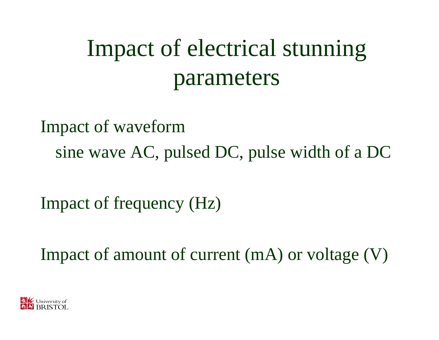# Impact of electrical stunning parameters

Impact of waveform sine wave AC, pulsed DC, pulse width of a DC

Impact of frequency (Hz)

Impact of amount of current (mA) or voltage (V)

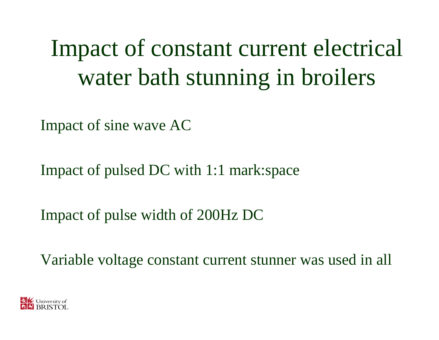Impact of constant current electrical water bath stunning in broilers

Impact of sine wave AC

Impact of pulsed DC with 1:1 mark:space

Impact of pulse width of 200Hz DC

Variable voltage constant current stunner was used in all

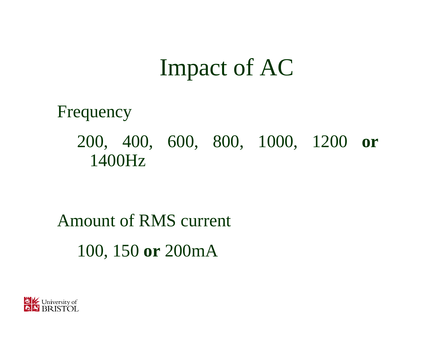#### Impact of AC

Frequency 200, 400, 600, 800, 1000, 1200 **or** 1400Hz

#### Amount of RMS current 100, 150 **or** 200mA

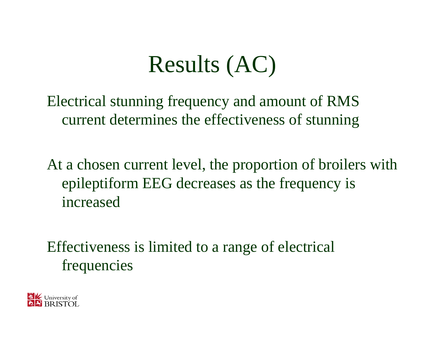### Results (AC)

Electrical stunning frequency and amount of RMS current determines the effectiveness of stunning

At a chosen current level, the proportion of broilers with epileptiform EEG decreases as the frequency is increased

Effectiveness is limited to a range of electrical frequencies

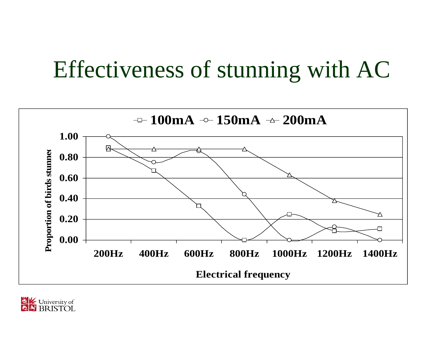## Effectiveness of stunning with AC



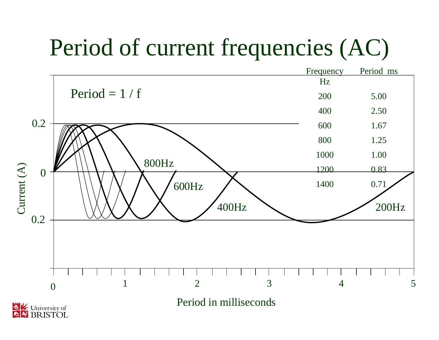## Period of current frequencies (AC)

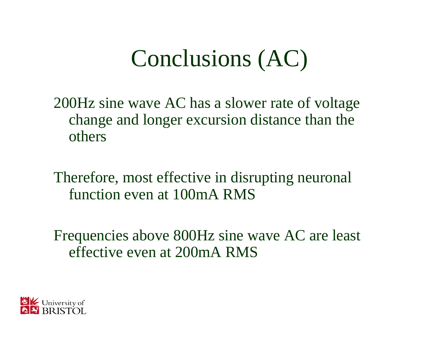Conclusions (AC)

200Hz sine wave AC has a slower rate of voltage change and longer excursion distance than the others

Therefore, most effective in disrupting neuronal function even at 100mA RMS

Frequencies above 800Hz sine wave AC are least effective even at 200mA RMS

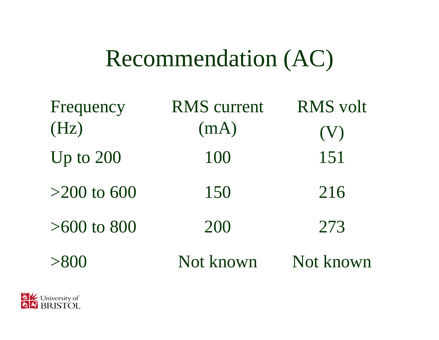### Recommendation (AC)

| Frequency     | <b>RMS</b> current | <b>RMS</b> volt |
|---------------|--------------------|-----------------|
| (Hz)          | (mA)               | (V)             |
| Up to $200$   | 100                | 151             |
| $>200$ to 600 | 150                | 216             |
| $>600$ to 800 | 200                | 273             |
| >800          | Not known          | Not known       |

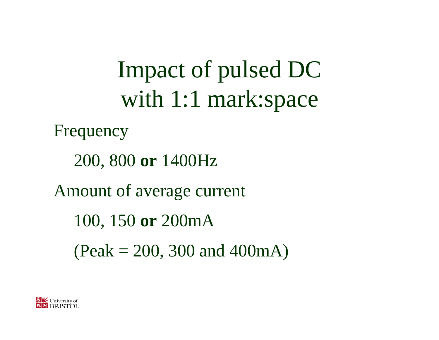Impact of pulsed DC with 1:1 mark:space

Frequency

200, 800 **or** 1400Hz

Amount of average current

100, 150 **or** 200mA

 $(Peak = 200, 300$  and  $400mA)$ 

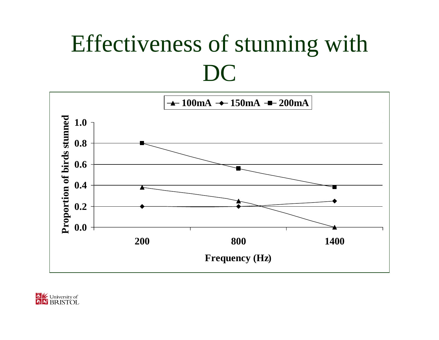## Effectiveness of stunning with DC



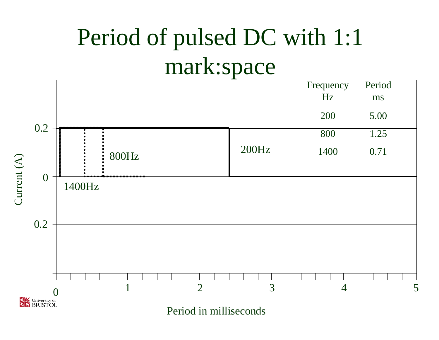## Period of pulsed DC with 1:1 mark:space

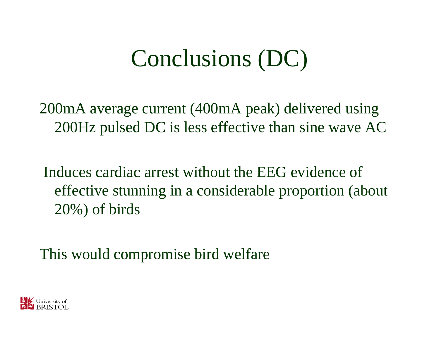## Conclusions (DC)

200mA average current (400mA peak) delivered using 200Hz pulsed DC is less effective than sine wave AC

Induces cardiac arrest without the EEG evidence of effective stunning in a considerable proportion (about 20%) of birds

This would compromise bird welfare

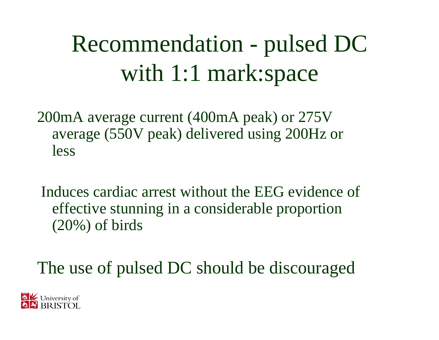Recommendation - pulsed DC with 1:1 mark:space

200mA average current (400mA peak) or 275V average (550V peak) delivered using 200Hz or less

Induces cardiac arrest without the EEG evidence of effective stunning in a considerable proportion (20%) of birds

The use of pulsed DC should be discouraged

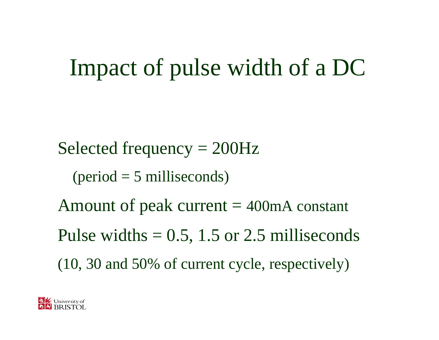## Impact of pulse width of a DC

Selected frequency = 200Hz

 $period = 5$  milliseconds)

Amount of peak current  $=$  400mA constant Pulse widths  $= 0.5$ , 1.5 or 2.5 milliseconds (10, 30 and 50% of current cycle, respectively)

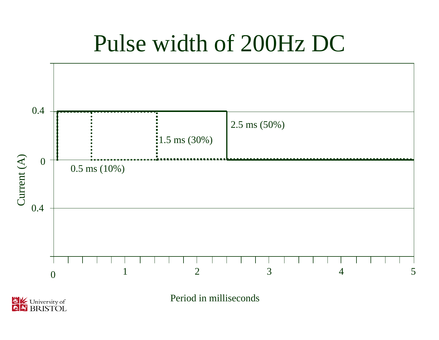#### Pulse width of 200Hz DC



University of 感  $\overline{\bullet}$ 

Period in milliseconds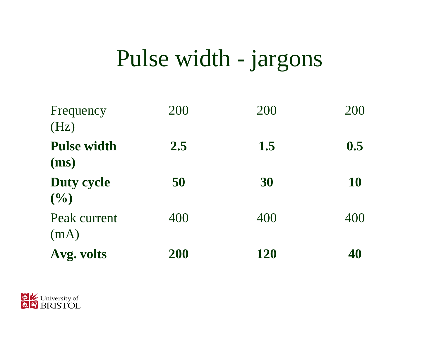### Pulse width - jargons

| Frequency<br>(Hz)          | 200 | 200 | 200       |
|----------------------------|-----|-----|-----------|
| <b>Pulse width</b><br>(ms) | 2.5 | 1.5 | 0.5       |
| <b>Duty cycle</b><br>(9/0) | 50  | 30  | <b>10</b> |
| Peak current<br>(mA)       | 400 | 400 | 400       |
| Avg. volts                 | 200 | 120 | 40        |

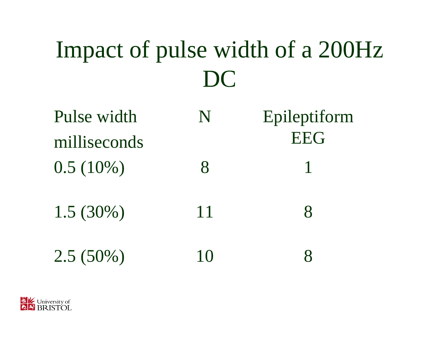# Impact of pulse width of a 200Hz DC

| Pulse width  | N     | Epileptiform |
|--------------|-------|--------------|
| milliseconds |       | <b>EEG</b>   |
| $0.5(10\%)$  | $8\,$ |              |
| $1.5(30\%)$  | 11    | $\mathsf{X}$ |
| $2.5(50\%)$  | 10    |              |

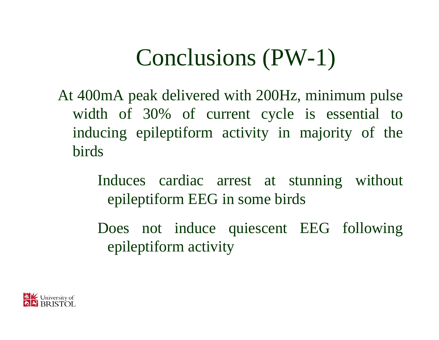## Conclusions (PW-1)

At 400mA peak delivered with 200Hz, minimum pulse width of 30% of current cycle is essential to inducing epileptiform activity in majority of the birds

> Induces cardiac arrest at stunning without epileptiform EEG in some birds

> Does not induce quiescent EEG following epileptiform activity

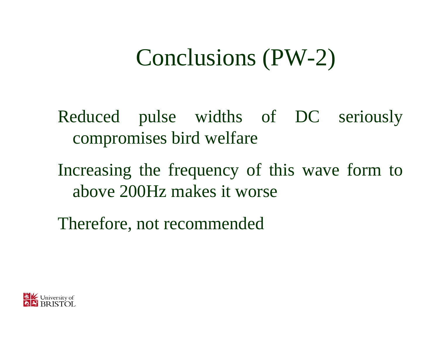## Conclusions (PW-2)

- Reduced pulse widths of DC seriously compromises bird welfare
- Increasing the frequency of this wave form to above 200Hz makes it worse
- Therefore, not recommended

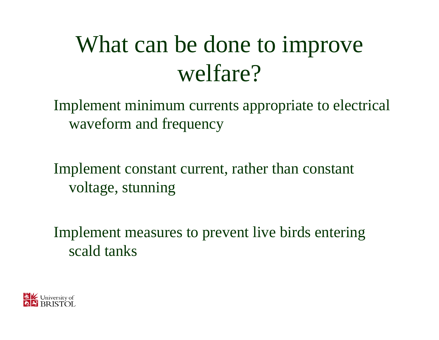# What can be done to improve welfare?

Implement minimum currents appropriate to electrical waveform and frequency

Implement constant current, rather than constant voltage, stunning

Implement measures to prevent live birds entering scald tanks

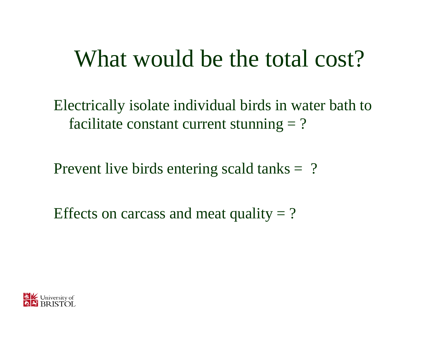#### What would be the total cost?

Electrically isolate individual birds in water bath to facilitate constant current stunning  $= ?$ 

Prevent live birds entering scald tanks = ?

Effects on carcass and meat quality  $= ?$ 

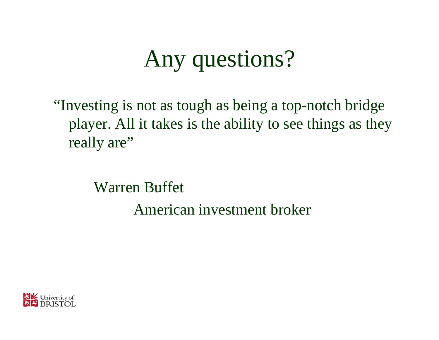# Any questions?

"Investing is not as tough as being a top-notch bridge player. All it takes is the ability to see things as they really are"

Warren Buffet

American investment broker

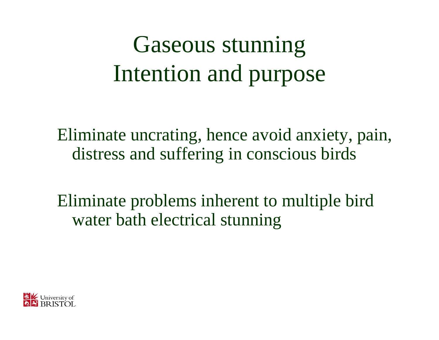# Gaseous stunning Intention and purpose

Eliminate uncrating, hence avoid anxiety, pain, distress and suffering in conscious birds

Eliminate problems inherent to multiple bird water bath electrical stunning

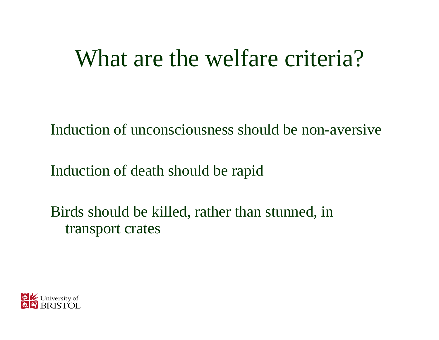#### What are the welfare criteria?

Induction of unconsciousness should be non-aversive

Induction of death should be rapid

Birds should be killed, rather than stunned, in transport crates

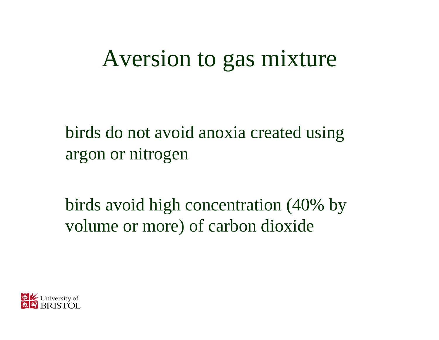#### Aversion to gas mixture

birds do not avoid anoxia created using argon or nitrogen

birds avoid high concentration (40% by volume or more) of carbon dioxide

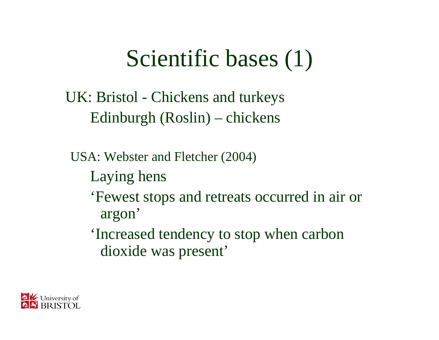## Scientific bases (1)

UK: Bristol - Chickens and turkeys Edinburgh (Roslin) – chickens

USA: Webster and Fletcher (2004) Laying hens 'Fewest stops and retreats occurred in air or argon' 'Increased tendency to stop when carbon dioxide was present'

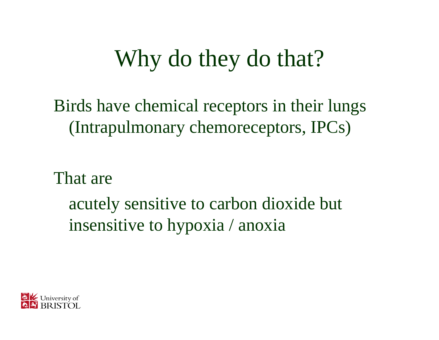# Why do they do that?

Birds have chemical receptors in their lungs (Intrapulmonary chemoreceptors, IPCs)

That are

acutely sensitive to carbon dioxide but insensitive to hypoxia / anoxia

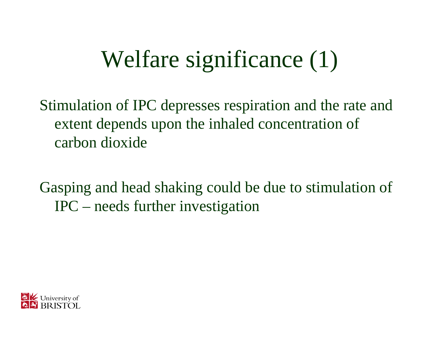# Welfare significance (1)

Stimulation of IPC depresses respiration and the rate and extent depends upon the inhaled concentration of carbon dioxide

Gasping and head shaking could be due to stimulation of IPC – needs further investigation

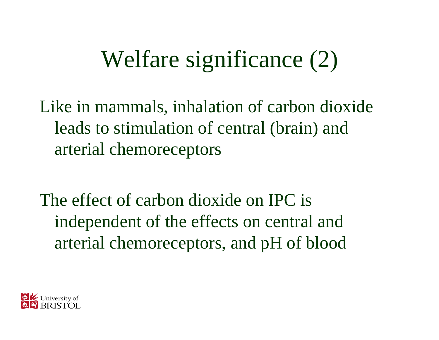## Welfare significance (2)

Like in mammals, inhalation of carbon dioxide leads to stimulation of central (brain) and arterial chemoreceptors

The effect of carbon dioxide on IPC is independent of the effects on central and arterial chemoreceptors, and pH of blood

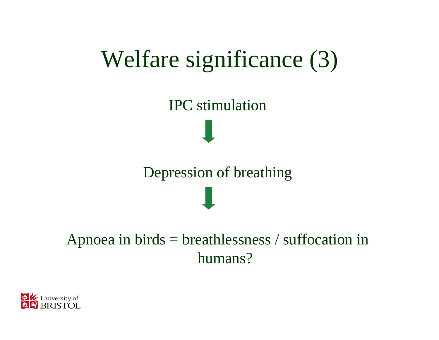## Welfare significance (3)

IPC stimulation

Depression of breathing

#### Apnoea in birds = breathlessness / suffocation in humans?

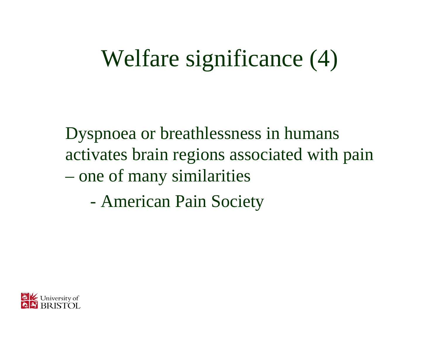## Welfare significance (4)

Dyspnoea or breathlessness in humans activates brain regions associated with pain – one of many similarities

- American Pain Society

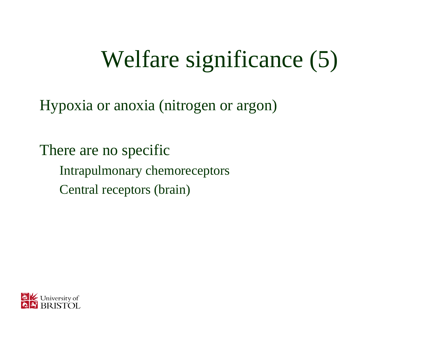# Welfare significance (5)

Hypoxia or anoxia (nitrogen or argon)

There are no specific Intrapulmonary chemoreceptors Central receptors (brain)

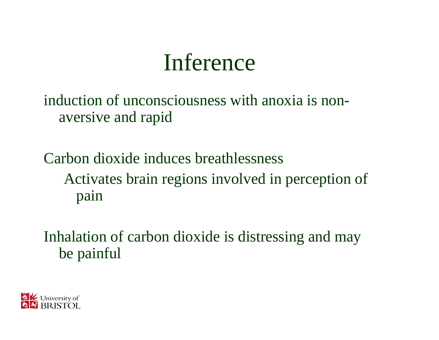#### Inference

induction of unconsciousness with anoxia is nonaversive and rapid

Carbon dioxide induces breathlessnessActivates brain regions involved in perception of pain

Inhalation of carbon dioxide is distressing and may be painful

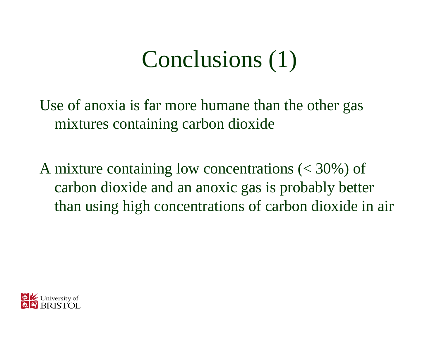## Conclusions (1)

Use of anoxia is far more humane than the other gas mixtures containing carbon dioxide

A mixture containing low concentrations (< 30%) of carbon dioxide and an anoxic gas is probably better than using high concentrations of carbon dioxide in air

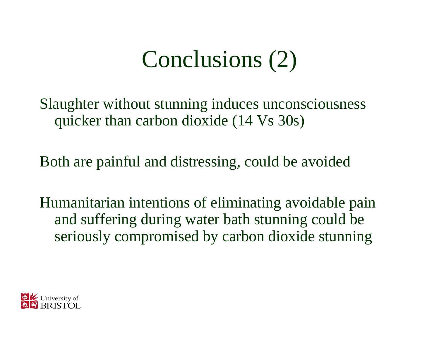## Conclusions (2)

Slaughter without stunning induces unconsciousness quicker than carbon dioxide (14 Vs 30s)

Both are painful and distressing, could be avoided

Humanitarian intentions of eliminating avoidable pain and suffering during water bath stunning could be seriously compromised by carbon dioxide stunning

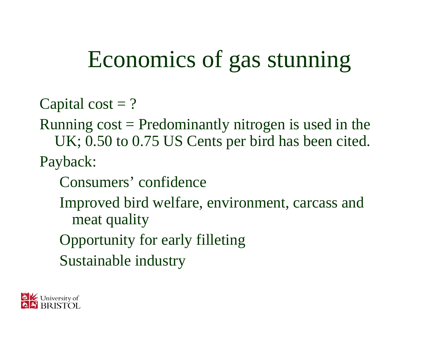## Economics of gas stunning

- Capital cost  $= ?$
- Running  $cost = Predominantly$  nitrogen is used in the UK; 0.50 to 0.75 US Cents per bird has been cited. Payback:
	- Consumers' confidence
	- Improved bird welfare, environment, carcass and meat quality
	- Opportunity for early filleting
	- Sustainable industry

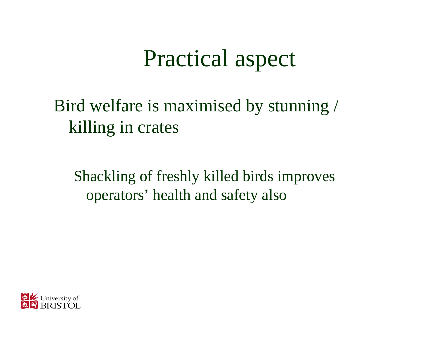#### Practical aspect

Bird welfare is maximised by stunning / killing in crates

Shackling of freshly killed birds improves operators' health and safety also

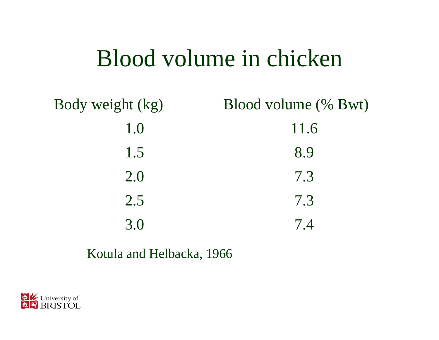#### Blood volume in chicken

Body weight (kg) Blood volume (% Bwt) 1.0 11.6 1.58.9 2.07.32.57.33.07.4

#### Kotula and Helbacka, 1966

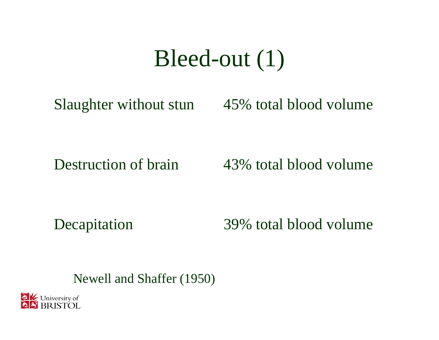#### Bleed-out (1)

Slaughter without stun 45% total blood volume

Destruction of brain

43% total blood volume

Decapitation 39% total blood volume

Newell and Shaffer (1950)

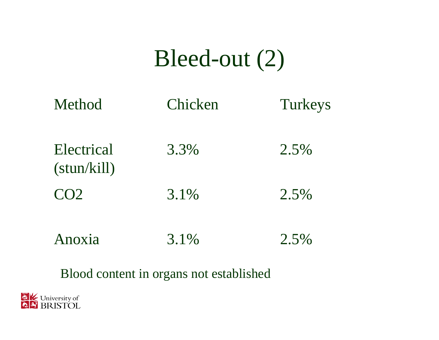#### Bleed-out (2)

| Method                             | Chicken | Turkeys |
|------------------------------------|---------|---------|
| Electrical<br>$(\text{stun/kill})$ | 3.3%    | 2.5%    |
| CO <sub>2</sub>                    | 3.1%    | 2.5%    |
| noxia                              | $3.1\%$ | 2.5%    |

#### Blood content in organs not established

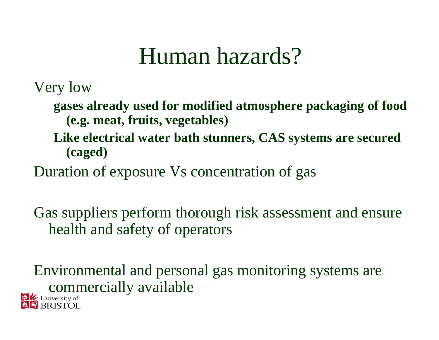#### Human hazards?

Very low

- **gases already used for modified atmosphere packaging of food (e.g. meat, fruits, vegetables)**
- **Like electrical water bath stunners, CAS systems are secured (caged)**
- Duration of exposure Vs concentration of gas

Gas suppliers perform thorough risk assessment and ensure health and safety of operators

Environmental and personal gas monitoring systems are commercially available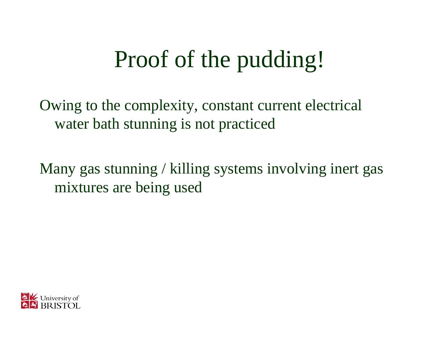# Proof of the pudding!

Owing to the complexity, constant current electrical water bath stunning is not practiced

Many gas stunning / killing systems involving inert gas mixtures are being used

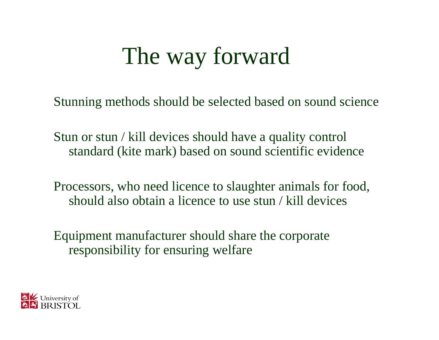## The way forward

Stunning methods should be selected based on sound science

Stun or stun / kill devices should have a quality control standard (kite mark) based on sound scientific evidence

Processors, who need licence to slaughter animals for food, should also obtain a licence to use stun / kill devices

Equipment manufacturer should share the corporate responsibility for ensuring welfare

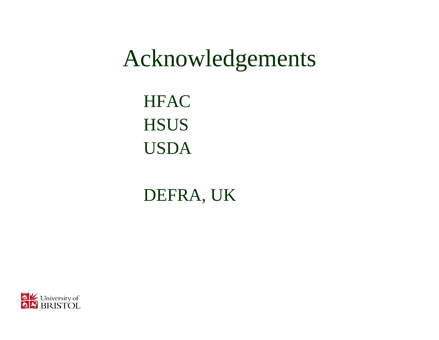#### Acknowledgements

**HFAC HSUS** USDA

DEFRA, UK

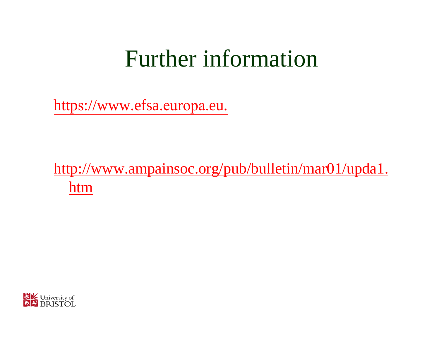#### Further information

https[://www.efsa.](https://www.efsa.europa.eu/)europa.eu.

http://www.ampainsoc.org/pub/bulletin/mar01/upda1. htm